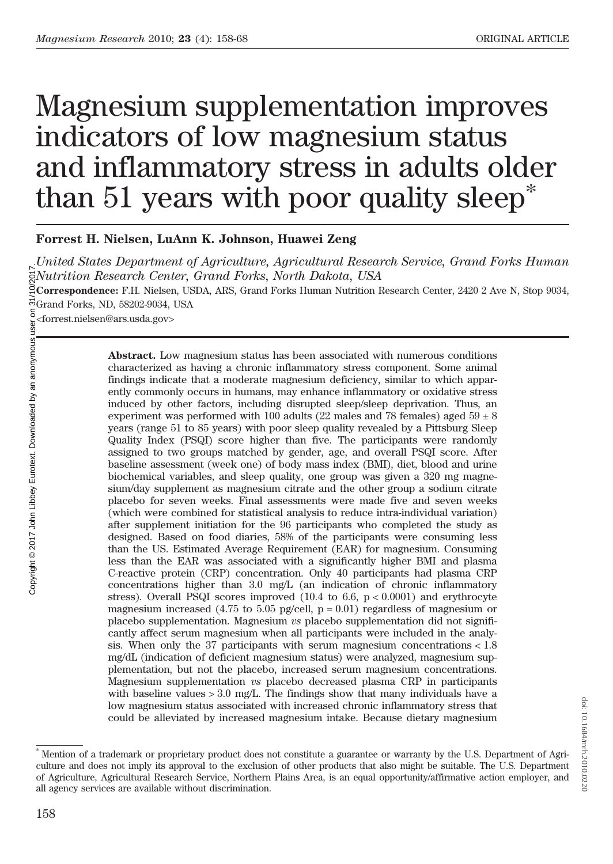doi:

10.1684/mrh.2010.0220

# Magnesium supplementation improves indicators of low magnesium status and inflammatory stress in adults older than 51 years with poor quality sleep\*

# Forrest H. Nielsen, LuAnn K. Johnson, Huawei Zeng

United States Department of Agriculture, Agricultural Research Service, Grand Forks Human Nutrition Research Center, Grand Forks, North Dakota, USA

Correspondence: F.H. Nielsen, USDA, ARS, Grand Forks Human Nutrition Research Center, 2420 2 Ave N, Stop 9034, Grand Forks, ND, 58202-9034, USA

Ecorrespondence. The temperature of the second Form of Grand Forks, ND, 58202-9034, U<br>
Second Forks, ND, 58202-9034, U<br>
Second Forks and Second Contract Low<br>
characterized indings indice<br>
endings indiced by ot<br>
experiment Abstract. Low magnesium status has been associated with numerous conditions characterized as having a chronic inflammatory stress component. Some animal findings indicate that a moderate magnesium deficiency, similar to which apparently commonly occurs in humans, may enhance inflammatory or oxidative stress induced by other factors, including disrupted sleep/sleep deprivation. Thus, an experiment was performed with 100 adults (22 males and 78 females) aged  $59 \pm 8$ years (range 51 to 85 years) with poor sleep quality revealed by a Pittsburg Sleep Quality Index (PSQI) score higher than five. The participants were randomly assigned to two groups matched by gender, age, and overall PSQI score. After baseline assessment (week one) of body mass index (BMI), diet, blood and urine biochemical variables, and sleep quality, one group was given a 320 mg magnesium/day supplement as magnesium citrate and the other group a sodium citrate placebo for seven weeks. Final assessments were made five and seven weeks (which were combined for statistical analysis to reduce intra-individual variation) after supplement initiation for the 96 participants who completed the study as designed. Based on food diaries, 58% of the participants were consuming less than the US. Estimated Average Requirement (EAR) for magnesium. Consuming less than the EAR was associated with a significantly higher BMI and plasma C-reactive protein (CRP) concentration. Only 40 participants had plasma CRP concentrations higher than 3.0 mg/L (an indication of chronic inflammatory stress). Overall PSQI scores improved  $(10.4 \text{ to } 6.6, \text{ p} < 0.0001)$  and erythrocyte magnesium increased (4.75 to 5.05 pg/cell,  $p = 0.01$ ) regardless of magnesium or placebo supplementation. Magnesium  $vs$  placebo supplementation did not significantly affect serum magnesium when all participants were included in the analysis. When only the 37 participants with serum magnesium concentrations < 1.8 mg/dL (indication of deficient magnesium status) were analyzed, magnesium supplementation, but not the placebo, increased serum magnesium concentrations. Magnesium supplementation vs placebo decreased plasma CRP in participants with baseline values  $> 3.0$  mg/L. The findings show that many individuals have a low magnesium status associated with increased chronic inflammatory stress that could be alleviated by increased magnesium intake. Because dietary magnesium

<sup>\*</sup> Mention of a trademark or proprietary product does not constitute a guarantee or warranty by the U.S. Department of Agriculture and does not imply its approval to the exclusion of other products that also might be suitable. The U.S. Department of Agriculture, Agricultural Research Service, Northern Plains Area, is an equal opportunity/affirmative action employer, and all agency services are available without discrimination.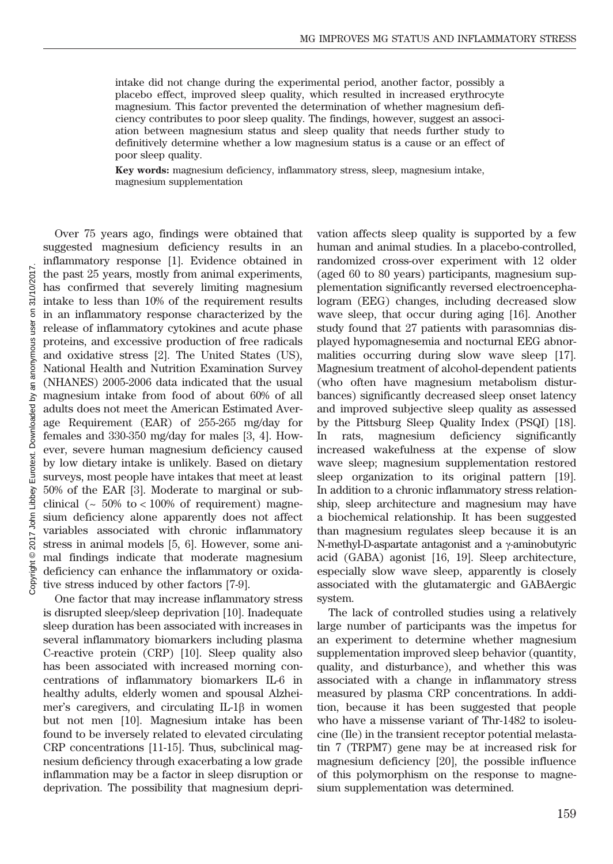intake did not change during the experimental period, another factor, possibly a placebo effect, improved sleep quality, which resulted in increased erythrocyte magnesium. This factor prevented the determination of whether magnesium deficiency contributes to poor sleep quality. The findings, however, suggest an association between magnesium status and sleep quality that needs further study to definitively determine whether a low magnesium status is a cause or an effect of poor sleep quality.

Key words: magnesium deficiency, inflammatory stress, sleep, magnesium intake, magnesium supplementation

Over 75 years ago, findings were obtained that suggested magnesium deficiency results in an inflammatory response [1]. Evidence obtained in the past 25 years, mostly from animal experiments, has confirmed that severely limiting magnesium intake to less than 10% of the requirement results in an inflammatory response characterized by the release of inflammatory cytokines and acute phase proteins, and excessive production of free radicals and oxidative stress [2]. The United States (US), National Health and Nutrition Examination Survey (NHANES) 2005-2006 data indicated that the usual magnesium intake from food of about 60% of all adults does not meet the American Estimated Average Requirement (EAR) of 255-265 mg/day for females and 330-350 mg/day for males [3, 4]. However, severe human magnesium deficiency caused by low dietary intake is unlikely. Based on dietary surveys, most people have intakes that meet at least 50% of the EAR [3]. Moderate to marginal or subclinical ( $\sim 50\%$  to  $\lt 100\%$  of requirement) magnesium deficiency alone apparently does not affect variables associated with chronic inflammatory stress in animal models [5, 6]. However, some animal findings indicate that moderate magnesium deficiency can enhance the inflammatory or oxidative stress induced by other factors [7-9].

One factor that may increase inflammatory stress is disrupted sleep/sleep deprivation [10]. Inadequate sleep duration has been associated with increases in several inflammatory biomarkers including plasma C-reactive protein (CRP) [10]. Sleep quality also has been associated with increased morning concentrations of inflammatory biomarkers IL-6 in healthy adults, elderly women and spousal Alzheimer's caregivers, and circulating IL-1β in women but not men [10]. Magnesium intake has been found to be inversely related to elevated circulating CRP concentrations [11-15]. Thus, subclinical magnesium deficiency through exacerbating a low grade inflammation may be a factor in sleep disruption or deprivation. The possibility that magnesium deprivation affects sleep quality is supported by a few human and animal studies. In a placebo-controlled, randomized cross-over experiment with 12 older (aged 60 to 80 years) participants, magnesium supplementation significantly reversed electroencephalogram (EEG) changes, including decreased slow wave sleep, that occur during aging [16]. Another study found that 27 patients with parasomnias displayed hypomagnesemia and nocturnal EEG abnormalities occurring during slow wave sleep [17]. Magnesium treatment of alcohol-dependent patients (who often have magnesium metabolism disturbances) significantly decreased sleep onset latency and improved subjective sleep quality as assessed by the Pittsburg Sleep Quality Index (PSQI) [18]. In rats, magnesium deficiency significantly increased wakefulness at the expense of slow wave sleep; magnesium supplementation restored sleep organization to its original pattern [19]. In addition to a chronic inflammatory stress relationship, sleep architecture and magnesium may have a biochemical relationship. It has been suggested than magnesium regulates sleep because it is an N-methyl-D-aspartate antagonist and a γ-aminobutyric acid (GABA) agonist [16, 19]. Sleep architecture, especially slow wave sleep, apparently is closely associated with the glutamatergic and GABAergic system.

The lack of controlled studies using a relatively large number of participants was the impetus for an experiment to determine whether magnesium supplementation improved sleep behavior (quantity, quality, and disturbance), and whether this was associated with a change in inflammatory stress measured by plasma CRP concentrations. In addition, because it has been suggested that people who have a missense variant of Thr-1482 to isoleucine (Ile) in the transient receptor potential melastatin 7 (TRPM7) gene may be at increased risk for magnesium deficiency [20], the possible influence of this polymorphism on the response to magnesium supplementation was determined.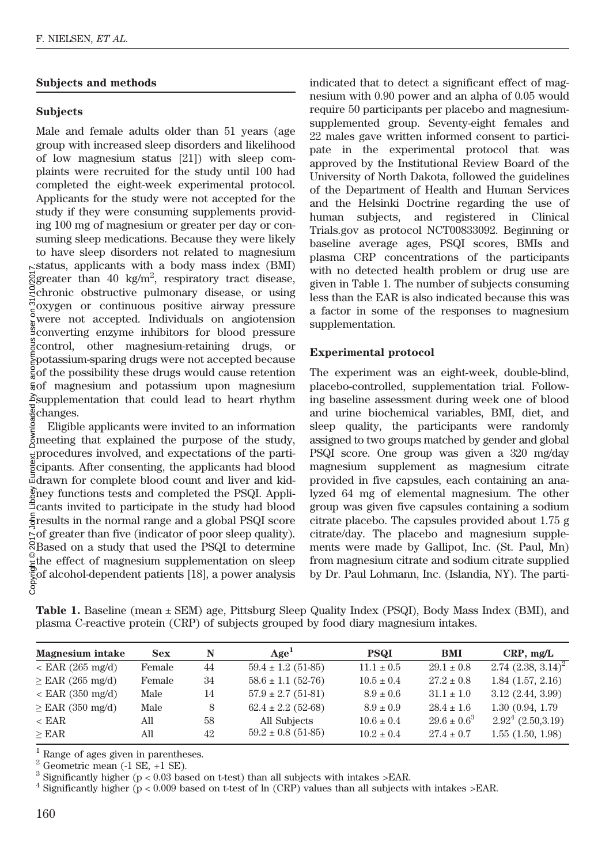# Subjects and methods

# Subjects

Male and female adults older than 51 years (age group with increased sleep disorders and likelihood of low magnesium status [21]) with sleep complaints were recruited for the study until 100 had completed the eight-week experimental protocol. Applicants for the study were not accepted for the study if they were consuming supplements providing 100 mg of magnesium or greater per day or consuming sleep medications. Because they were likely to have sleep disorders not related to magnesium  $\kappa$ status, applicants with a body mass index (BMI) greater than 40 kg/m<sup>2</sup>, respiratory tract disease, chronic obstructive pulmonary disease, or using  $\frac{5}{2}$ oxygen or continuous positive airway pressure  $\frac{1}{8}$ were not accepted. Individuals on angiotension converting enzyme inhibitors for blood pressure  $\frac{9}{5}$ control, other magnesium-retaining drugs, or potassium-sparing drugs were not accepted because of the possibility these drugs would cause retention of magnesium and potassium upon magnesium  $\delta$ supplementation that could lead to heart rhythm changes.

Eligible applicants were invited to an information meeting that explained the purpose of the study,  $\frac{1}{\mathbf{X}}$ procedures involved, and expectations of the participants. After consenting, the applicants had blood drawn for complete blood count and liver and kidney functions tests and completed the PSQI. Applicants invited to participate in the study had blood  $\frac{1}{5}$  results in the normal range and a global PSQI score  $\leq$  of greater than five (indicator of poor sleep quality). Based on a study that used the PSQI to determine  $\frac{1}{5}$ the effect of magnesium supplementation on sleep  $\frac{1}{5}$  of alcohol-dependent patients [18], a power analysis  $\frac{5}{5}$ Copyright © 2017 John Libbey Eurotext. Downloaded by an anonymous user on 31/10/2017.

indicated that to detect a significant effect of magnesium with 0.90 power and an alpha of 0.05 would require 50 participants per placebo and magnesiumsupplemented group. Seventy-eight females and 22 males gave written informed consent to participate in the experimental protocol that was approved by the Institutional Review Board of the University of North Dakota, followed the guidelines of the Department of Health and Human Services and the Helsinki Doctrine regarding the use of human subjects, and registered in Clinical Trials.gov as protocol NCT00833092. Beginning or baseline average ages, PSQI scores, BMIs and plasma CRP concentrations of the participants with no detected health problem or drug use are given in Table 1. The number of subjects consuming less than the EAR is also indicated because this was a factor in some of the responses to magnesium supplementation.

## Experimental protocol

The experiment was an eight-week, double-blind, placebo-controlled, supplementation trial. Following baseline assessment during week one of blood and urine biochemical variables, BMI, diet, and sleep quality, the participants were randomly assigned to two groups matched by gender and global PSQI score. One group was given a 320 mg/day magnesium supplement as magnesium citrate provided in five capsules, each containing an analyzed 64 mg of elemental magnesium. The other group was given five capsules containing a sodium citrate placebo. The capsules provided about 1.75 g citrate/day. The placebo and magnesium supplements were made by Gallipot, Inc. (St. Paul, Mn) from magnesium citrate and sodium citrate supplied by Dr. Paul Lohmann, Inc. (Islandia, NY). The parti-

Table 1. Baseline (mean ± SEM) age, Pittsburg Sleep Quality Index (PSQI), Body Mass Index (BMI), and plasma C-reactive protein (CRP) of subjects grouped by food diary magnesium intakes.

| <b>Magnesium</b> intake   | <b>Sex</b> | N  | Age <sup>L</sup>       | <b>PSQI</b>    | <b>BMI</b>       | $CRP$ , mg/L            |
|---------------------------|------------|----|------------------------|----------------|------------------|-------------------------|
| $\epsilon$ EAR (265 mg/d) | Female     | 44 | $59.4 \pm 1.2$ (51-85) | $11.1 \pm 0.5$ | $29.1 \pm 0.8$   | $2.74$ $(2.38, 3.14)^2$ |
| $\geq$ EAR (265 mg/d)     | Female     | 34 | $58.6 \pm 1.1$ (52-76) | $10.5 \pm 0.4$ | $27.2 \pm 0.8$   | $1.84$ $(1.57, 2.16)$   |
| $\epsilon$ EAR (350 mg/d) | Male       | 14 | $57.9 \pm 2.7$ (51-81) | $8.9 \pm 0.6$  | $31.1 \pm 1.0$   | 3.12(2.44, 3.99)        |
| $\geq$ EAR (350 mg/d)     | Male       | 8  | $62.4 \pm 2.2$ (52-68) | $8.9 \pm 0.9$  | $28.4 \pm 1.6$   | 1.30(0.94, 1.79)        |
| $\rm < EAR$               | All        | 58 | All Subjects           | $10.6 \pm 0.4$ | $29.6 \pm 0.6^3$ | $2.924$ (2.50,3.19)     |
| $>$ EAR                   | All        | 42 | $59.2 \pm 0.8$ (51-85) | $10.2 \pm 0.4$ | $27.4 \pm 0.7$   | 1.55(1.50, 1.98)        |

<sup>1</sup> Range of ages given in parentheses.<br><sup>2</sup> Geometric mean (-1 SE, +1 SE).<br><sup>3</sup> Significantly higher (p < 0.03 based on t-test) than all subjects with intakes >EAR.<br><sup>4</sup> Significantly higher (p < 0.009 based on t-test of ln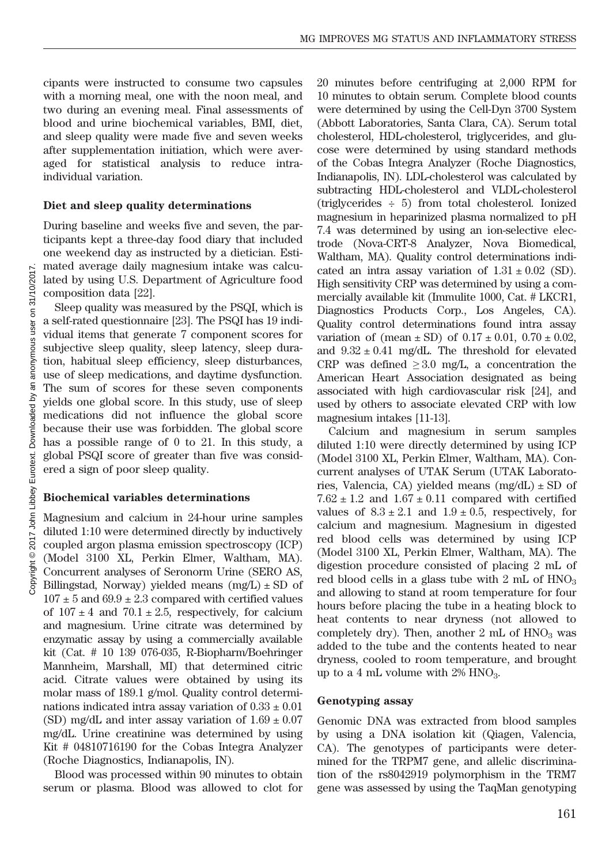cipants were instructed to consume two capsules with a morning meal, one with the noon meal, and two during an evening meal. Final assessments of blood and urine biochemical variables, BMI, diet, and sleep quality were made five and seven weeks after supplementation initiation, which were averaged for statistical analysis to reduce intraindividual variation.

## Diet and sleep quality determinations

During baseline and weeks five and seven, the participants kept a three-day food diary that included one weekend day as instructed by a dietician. Estimated average daily magnesium intake was calculated by using U.S. Department of Agriculture food composition data [22].

Sleep quality was measured by the PSQI, which is a self-rated questionnaire [23]. The PSQI has 19 individual items that generate 7 component scores for subjective sleep quality, sleep latency, sleep duration, habitual sleep efficiency, sleep disturbances, use of sleep medications, and daytime dysfunction. The sum of scores for these seven components yields one global score. In this study, use of sleep medications did not influence the global score because their use was forbidden. The global score has a possible range of 0 to 21. In this study, a global PSQI score of greater than five was considered a sign of poor sleep quality.

## Biochemical variables determinations

Magnesium and calcium in 24-hour urine samples diluted 1:10 were determined directly by inductively coupled argon plasma emission spectroscopy (ICP) (Model 3100 XL, Perkin Elmer, Waltham, MA). Concurrent analyses of Seronorm Urine (SERO AS, Billingstad, Norway) yielded means  $(mg/L) \pm SD$  of  $107 \pm 5$  and  $69.9 \pm 2.3$  compared with certified values of  $107 \pm 4$  and  $70.1 \pm 2.5$ , respectively, for calcium and magnesium. Urine citrate was determined by enzymatic assay by using a commercially available kit (Cat. # 10 139 076-035, R-Biopharm/Boehringer Mannheim, Marshall, MI) that determined citric acid. Citrate values were obtained by using its molar mass of 189.1 g/mol. Quality control determinations indicated intra assay variation of  $0.33 \pm 0.01$ (SD) mg/dL and inter assay variation of  $1.69 \pm 0.07$ mg/dL. Urine creatinine was determined by using Kit # 04810716190 for the Cobas Integra Analyzer (Roche Diagnostics, Indianapolis, IN).

Blood was processed within 90 minutes to obtain serum or plasma. Blood was allowed to clot for 20 minutes before centrifuging at 2,000 RPM for 10 minutes to obtain serum. Complete blood counts were determined by using the Cell-Dyn 3700 System (Abbott Laboratories, Santa Clara, CA). Serum total cholesterol, HDL-cholesterol, triglycerides, and glucose were determined by using standard methods of the Cobas Integra Analyzer (Roche Diagnostics, Indianapolis, IN). LDL-cholesterol was calculated by subtracting HDL-cholesterol and VLDL-cholesterol (triglycerides ÷ 5) from total cholesterol. Ionized magnesium in heparinized plasma normalized to pH 7.4 was determined by using an ion-selective electrode (Nova-CRT-8 Analyzer, Nova Biomedical, Waltham, MA). Quality control determinations indicated an intra assay variation of  $1.31 \pm 0.02$  (SD). High sensitivity CRP was determined by using a commercially available kit (Immulite 1000, Cat. # LKCR1, Diagnostics Products Corp., Los Angeles, CA). Quality control determinations found intra assay variation of (mean  $\pm$  SD) of  $0.17 \pm 0.01$ ,  $0.70 \pm 0.02$ , and  $9.32 \pm 0.41$  mg/dL. The threshold for elevated CRP was defined  $\geq 3.0$  mg/L, a concentration the American Heart Association designated as being associated with high cardiovascular risk [24], and used by others to associate elevated CRP with low magnesium intakes [11-13].

Calcium and magnesium in serum samples diluted 1:10 were directly determined by using ICP (Model 3100 XL, Perkin Elmer, Waltham, MA). Concurrent analyses of UTAK Serum (UTAK Laboratories, Valencia, CA) yielded means  $(mg/dL) \pm SD$  of  $7.62 \pm 1.2$  and  $1.67 \pm 0.11$  compared with certified values of  $8.3 \pm 2.1$  and  $1.9 \pm 0.5$ , respectively, for calcium and magnesium. Magnesium in digested red blood cells was determined by using ICP (Model 3100 XL, Perkin Elmer, Waltham, MA). The digestion procedure consisted of placing 2 mL of red blood cells in a glass tube with  $2 \text{ mL of HNO}_3$ and allowing to stand at room temperature for four hours before placing the tube in a heating block to heat contents to near dryness (not allowed to completely dry). Then, another  $2 \text{ mL of HNO}_3$  was added to the tube and the contents heated to near dryness, cooled to room temperature, and brought up to a 4 mL volume with  $2\%$  HNO<sub>3</sub>.

#### Genotyping assay

Genomic DNA was extracted from blood samples by using a DNA isolation kit (Qiagen, Valencia, CA). The genotypes of participants were determined for the TRPM7 gene, and allelic discrimination of the rs8042919 polymorphism in the TRM7 gene was assessed by using the TaqMan genotyping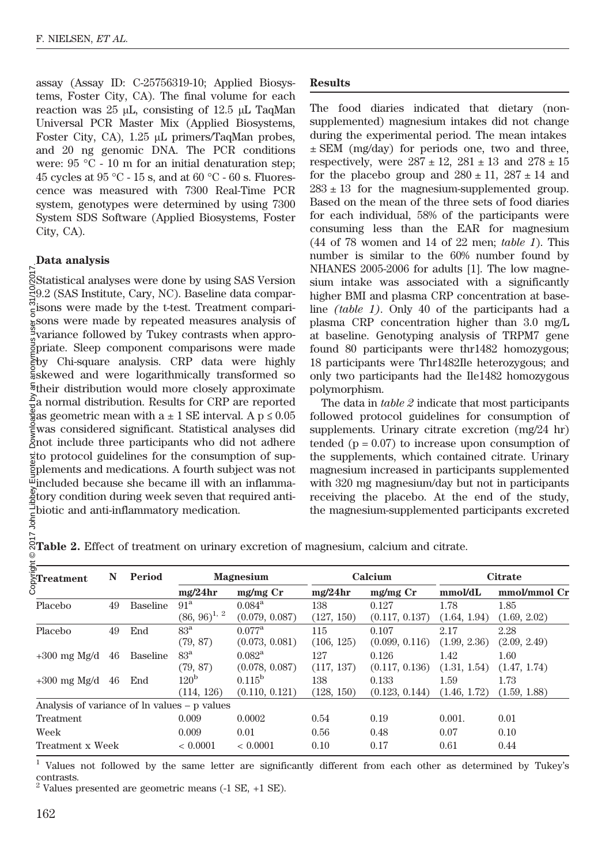assay (Assay ID: C-25756319-10; Applied Biosystems, Foster City, CA). The final volume for each reaction was 25 μL, consisting of 12.5 μL TaqMan Universal PCR Master Mix (Applied Biosystems, Foster City, CA), 1.25 μL primers/TaqMan probes, and 20 ng genomic DNA. The PCR conditions were: 95 °C - 10 m for an initial denaturation step; 45 cycles at 95 °C - 15 s, and at 60 °C - 60 s. Fluorescence was measured with 7300 Real-Time PCR system, genotypes were determined by using 7300 System SDS Software (Applied Biosystems, Foster City, CA).

## Data analysis

Statistical analyses were done by using SAS Version 9.2 (SAS Institute, Cary, NC). Baseline data compar- $\sum_{n=1}^{\infty}$  isons were made by the t-test. Treatment comparisons were made by repeated measures analysis of <sup>g</sup>variance followed by Tukey contrasts when appropriate. Sleep component comparisons were made by Chi-square analysis. CRP data were highly skewed and were logarithmically transformed so their distribution would more closely approximate  $\frac{2}{7}a$  normal distribution. Results for CRP are reported  $\frac{3}{8}$ as geometric mean with a ± 1 SE interval. A p ≤ 0.05 was considered significant. Statistical analyses did not include three participants who did not adhere to protocol guidelines for the consumption of supplements and medications. A fourth subject was not included because she became ill with an inflamma- $\frac{2}{3}$  tory condition during week seven that required anti-<br> $\frac{1}{3}$  higher and ontian inflammatory modication biotic and anti-inflammatory medication. Copyright © 2017 John Libbey Eurotext. Downloaded by an anonymous user on 31/10/2017.

## Results

The food diaries indicated that dietary (nonsupplemented) magnesium intakes did not change during the experimental period. The mean intakes  $\pm$  SEM (mg/day) for periods one, two and three, respectively, were  $287 \pm 12$ ,  $281 \pm 13$  and  $278 \pm 15$ for the placebo group and  $280 \pm 11$ ,  $287 \pm 14$  and  $283 \pm 13$  for the magnesium-supplemented group. Based on the mean of the three sets of food diaries for each individual, 58% of the participants were consuming less than the EAR for magnesium (44 of 78 women and 14 of 22 men; table 1). This number is similar to the 60% number found by NHANES 2005-2006 for adults [1]. The low magnesium intake was associated with a significantly higher BMI and plasma CRP concentration at baseline (table 1). Only 40 of the participants had a plasma CRP concentration higher than 3.0 mg/L at baseline. Genotyping analysis of TRPM7 gene found 80 participants were thr1482 homozygous; 18 participants were Thr1482Ile heterozygous; and only two participants had the Ile1482 homozygous polymorphism.

The data in table 2 indicate that most participants followed protocol guidelines for consumption of supplements. Urinary citrate excretion (mg/24 hr) tended  $(p = 0.07)$  to increase upon consumption of the supplements, which contained citrate. Urinary magnesium increased in participants supplemented with 320 mg magnesium/day but not in participants receiving the placebo. At the end of the study, the magnesium-supplemented participants excreted

| ight<br>$\frac{1}{8}$ Treatment              | N  | Period          |                   | <b>Magnesium</b> |            | Calcium        | <b>Citrate</b> |              |  |
|----------------------------------------------|----|-----------------|-------------------|------------------|------------|----------------|----------------|--------------|--|
|                                              |    |                 | mg/24hr           | $mg/mg$ Cr       | mg/24hr    | $mg/mg$ Cr     | mmol/dL        | mmol/mmol Cr |  |
| Placebo                                      | 49 | <b>Baseline</b> | 91 <sup>a</sup>   | $0.084^{\rm a}$  | 138        | 0.127          | 1.78           | 1.85         |  |
|                                              |    |                 | $(86, 96)^{1, 2}$ | (0.079, 0.087)   | (127, 150) | (0.117, 0.137) | (1.64, 1.94)   | (1.69, 2.02) |  |
| Placebo                                      | 49 | End             | 83 <sup>a</sup>   | $0.077^{\rm a}$  | 115        | 0.107          | 2.17           | 2.28         |  |
|                                              |    |                 | (79, 87)          | (0.073, 0.081)   | (106, 125) | (0.099, 0.116) | (1.99, 2.36)   | (2.09, 2.49) |  |
| $+300$ mg Mg/d                               | 46 | Baseline        | 83 <sup>a</sup>   | $0.082^{\rm a}$  | 127        | 0.126          | 1.42           | 1.60         |  |
|                                              |    |                 | (79, 87)          | (0.078, 0.087)   | (117, 137) | (0.117, 0.136) | (1.31, 1.54)   | (1.47, 1.74) |  |
| $+300$ mg Mg/d                               | 46 | End             | 120 <sup>b</sup>  | $0.115^{\rm b}$  | 138        | 0.133          | 1.59           | 1.73         |  |
|                                              |    |                 | (114, 126)        | (0.110, 0.121)   | (128, 150) | (0.123, 0.144) | (1.46, 1.72)   | (1.59, 1.88) |  |
| Analysis of variance of ln values – p values |    |                 |                   |                  |            |                |                |              |  |
| <b>Treatment</b>                             |    |                 | 0.009             | 0.0002           | 0.54       | 0.19           | 0.001.         | 0.01         |  |
| Week                                         |    |                 | 0.009             | 0.01             | 0.56       | 0.48           | 0.07           | 0.10         |  |
| Treatment x Week                             |    |                 | < 0.0001          | < 0.0001         | 0.10       | 0.17           | 0.61           | 0.44         |  |

Table 2. Effect of treatment on urinary excretion of magnesium, calcium and citrate.

<sup>1</sup> Values not followed by the same letter are significantly different from each other as determined by Tukey's contrasts.

 $2$  Values presented are geometric means (-1 SE, +1 SE).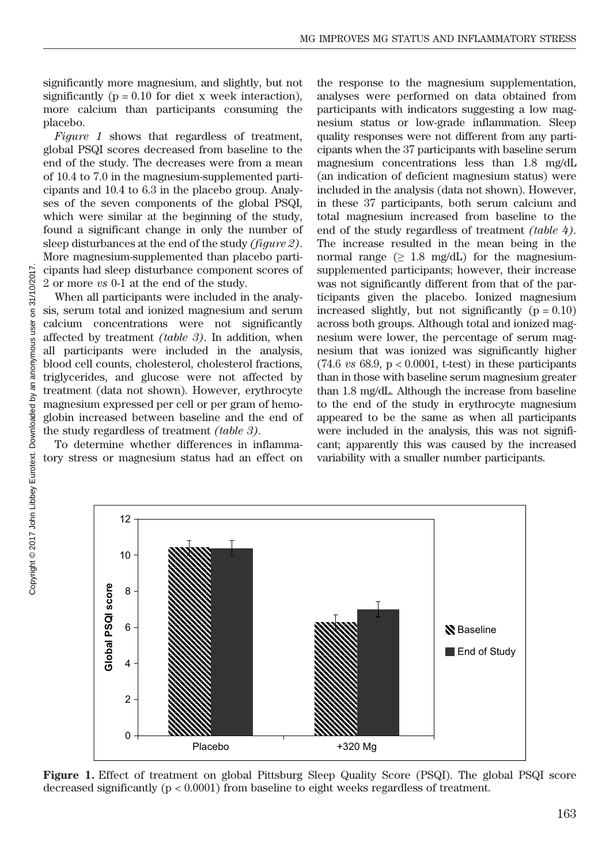significantly more magnesium, and slightly, but not significantly ( $p = 0.10$  for diet x week interaction), more calcium than participants consuming the placebo.

Figure 1 shows that regardless of treatment, global PSQI scores decreased from baseline to the end of the study. The decreases were from a mean of 10.4 to 7.0 in the magnesium-supplemented participants and 10.4 to 6.3 in the placebo group. Analyses of the seven components of the global PSQI, which were similar at the beginning of the study, found a significant change in only the number of sleep disturbances at the end of the study *(figure 2)*. More magnesium-supplemented than placebo participants had sleep disturbance component scores of 2 or more vs 0-1 at the end of the study.

When all participants were included in the analysis, serum total and ionized magnesium and serum calcium concentrations were not significantly affected by treatment (table 3). In addition, when all participants were included in the analysis, blood cell counts, cholesterol, cholesterol fractions, triglycerides, and glucose were not affected by treatment (data not shown). However, erythrocyte magnesium expressed per cell or per gram of hemoglobin increased between baseline and the end of the study regardless of treatment (table 3).

To determine whether differences in inflammatory stress or magnesium status had an effect on the response to the magnesium supplementation, analyses were performed on data obtained from participants with indicators suggesting a low magnesium status or low-grade inflammation. Sleep quality responses were not different from any participants when the 37 participants with baseline serum magnesium concentrations less than 1.8 mg/dL (an indication of deficient magnesium status) were included in the analysis (data not shown). However, in these 37 participants, both serum calcium and total magnesium increased from baseline to the end of the study regardless of treatment (table 4). The increase resulted in the mean being in the normal range ( $\geq$  1.8 mg/dL) for the magnesiumsupplemented participants; however, their increase was not significantly different from that of the participants given the placebo. Ionized magnesium increased slightly, but not significantly  $(p = 0.10)$ across both groups. Although total and ionized magnesium were lower, the percentage of serum magnesium that was ionized was significantly higher  $(74.6 \text{ vs } 68.9, p < 0.0001, t-test)$  in these participants than in those with baseline serum magnesium greater than 1.8 mg/dL. Although the increase from baseline to the end of the study in erythrocyte magnesium appeared to be the same as when all participants were included in the analysis, this was not significant; apparently this was caused by the increased variability with a smaller number participants.



Figure 1. Effect of treatment on global Pittsburg Sleep Quality Score (PSQI). The global PSQI score decreased significantly (p < 0.0001) from baseline to eight weeks regardless of treatment.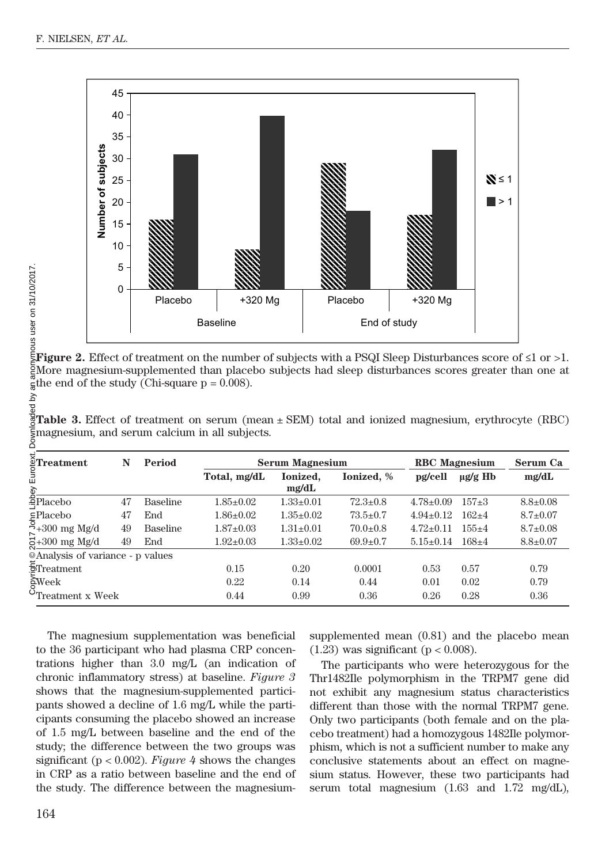

**Figure 2.** Effect of treatment on the number of subjects with a PSQI Sleep Disturbances score of  $\leq 1$  or  $>1$ . More magnesium-supplemented than placebo subjects had sleep disturbances scores greater than one at  $\frac{1}{6}$ the end of the study (Chi-square p = 0.008).

| $\rm \S$ Treatment | N  | Period          |                 | <b>Serum Magnesium</b> | <b>RBC</b> Magnesium | Serum Ca        |              |                |
|--------------------|----|-----------------|-----------------|------------------------|----------------------|-----------------|--------------|----------------|
| ξĐ                 |    |                 | Total, mg/dL    | Ionized.<br>mg/dL      | Ionized. %           | pg/cell         | $\mu$ g/g Hb | mg/dL          |
| ≌Placebo           | 47 | <b>Baseline</b> | $1.85 \pm 0.02$ | $1.33 \pm 0.01$        | $72.3 \pm 0.8$       | $4.78 \pm 0.09$ | $157 + 3$    | $8.8 \pm 0.08$ |
| ⊊Placebo           | 47 | End             | $1.86 \pm 0.02$ | $1.35+0.02$            | $73.5 \pm 0.7$       | $4.94 \pm 0.12$ | $162+4$      | $8.7 \pm 0.07$ |
| $5+300$ mg Mg/d    | 49 | <b>Baseline</b> | $1.87 \pm 0.03$ | $1.31 \pm 0.01$        | $70.0 \pm 0.8$       | $4.72 \pm 0.11$ | $155+4$      | $8.7 \pm 0.08$ |
| $5+300$ mg Mg/d    | 49 | End             | $1.92 \pm 0.03$ | $1.33 \pm 0.02$        | $69.9 \pm 0.7$       | $5.15 \pm 0.14$ | $168+4$      | $8.8 \pm 0.07$ |

 $\frac{8}{8}$ Table 3. Effect of treatment on serum (mean ± SEM) total and ionized magnesium, erythrocyte (RBC) magnesium, and serum calcium in all subjects.

The magnesium supplementation was beneficial to the 36 participant who had plasma CRP concentrations higher than 3.0 mg/L (an indication of chronic inflammatory stress) at baseline. Figure 3 shows that the magnesium-supplemented participants showed a decline of 1.6 mg/L while the participants consuming the placebo showed an increase of 1.5 mg/L between baseline and the end of the study; the difference between the two groups was significant ( $p < 0.002$ ). Figure 4 shows the changes in CRP as a ratio between baseline and the end of the study. The difference between the magnesiumsupplemented mean (0.81) and the placebo mean  $(1.23)$  was significant  $(p < 0.008)$ .

The participants who were heterozygous for the Thr1482Ile polymorphism in the TRPM7 gene did not exhibit any magnesium status characteristics different than those with the normal TRPM7 gene. Only two participants (both female and on the placebo treatment) had a homozygous 1482Ile polymorphism, which is not a sufficient number to make any conclusive statements about an effect on magnesium status. However, these two participants had serum total magnesium (1.63 and 1.72 mg/dL),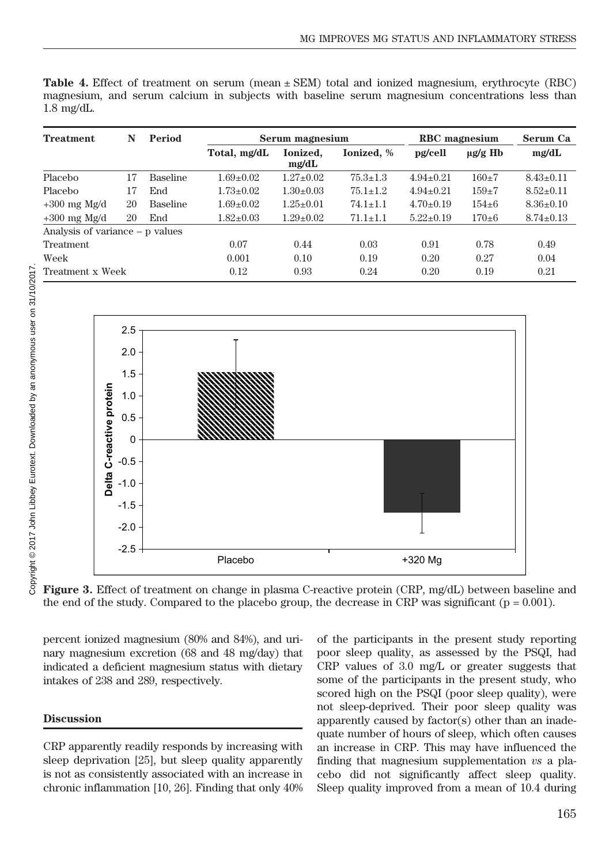|            |  |  |  |  | <b>Table 4.</b> Effect of treatment on serum (mean $\pm$ SEM) total and ionized magnesium, erythrocyte (RBC) |  |  |
|------------|--|--|--|--|--------------------------------------------------------------------------------------------------------------|--|--|
|            |  |  |  |  | magnesium, and serum calcium in subjects with baseline serum magnesium concentrations less than              |  |  |
| 1.8 mg/dL. |  |  |  |  |                                                                                                              |  |  |

| <b>Treatment</b>                  | N  | Period          |                 | Serum magnesium   | RBC magnesium  | Serum Ca        |              |                 |
|-----------------------------------|----|-----------------|-----------------|-------------------|----------------|-----------------|--------------|-----------------|
|                                   |    |                 | Total, mg/dL    | Ionized.<br>mg/dL | Ionized, %     | pg/cell         | $\mu$ g/g Hb | mg/dL           |
| Placebo                           | 17 | <b>Baseline</b> | $1.69 + 0.02$   | $1.27+0.02$       | $75.3 \pm 1.3$ | $4.94 \pm 0.21$ | $160+7$      | $8.43 \pm 0.11$ |
| Placebo                           | 17 | End             | $1.73 \pm 0.02$ | $1.30+0.03$       | $75.1 \pm 1.2$ | $4.94 \pm 0.21$ | $159+7$      | $8.52 \pm 0.11$ |
| $+300$ mg Mg/d                    | 20 | <b>Baseline</b> | $1.69 + 0.02$   | $1.25 \pm 0.01$   | $74.1 \pm 1.1$ | $4.70 \pm 0.19$ | $154 + 6$    | $8.36 \pm 0.10$ |
| $+300$ mg Mg/d                    | 20 | End             | $1.82 \pm 0.03$ | $1.29 \pm 0.02$   | $71.1 \pm 1.1$ | $5.22 \pm 0.19$ | $170 + 6$    | $8.74 \pm 0.13$ |
| Analysis of variance $-$ p values |    |                 |                 |                   |                |                 |              |                 |
| Treatment                         |    |                 | 0.07            | 0.44              | 0.03           | 0.91            | 0.78         | 0.49            |
| Week                              |    |                 | 0.001           | 0.10              | 0.19           | 0.20            | 0.27         | 0.04            |
| Treatment x Week                  |    |                 | 0.12            | 0.93              | 0.24           | 0.20            | 0.19         | 0.21            |



Figure 3. Effect of treatment on change in plasma C-reactive protein (CRP, mg/dL) between baseline and the end of the study. Compared to the placebo group, the decrease in CRP was significant ( $p = 0.001$ ).

percent ionized magnesium (80% and 84%), and urinary magnesium excretion (68 and 48 mg/day) that indicated a deficient magnesium status with dietary intakes of 238 and 289, respectively.

# Discussion

CRP apparently readily responds by increasing with sleep deprivation [25], but sleep quality apparently is not as consistently associated with an increase in chronic inflammation [10, 26]. Finding that only 40% of the participants in the present study reporting poor sleep quality, as assessed by the PSQI, had CRP values of 3.0 mg/L or greater suggests that some of the participants in the present study, who scored high on the PSQI (poor sleep quality), were not sleep-deprived. Their poor sleep quality was apparently caused by factor(s) other than an inadequate number of hours of sleep, which often causes an increase in CRP. This may have influenced the finding that magnesium supplementation vs a placebo did not significantly affect sleep quality. Sleep quality improved from a mean of 10.4 during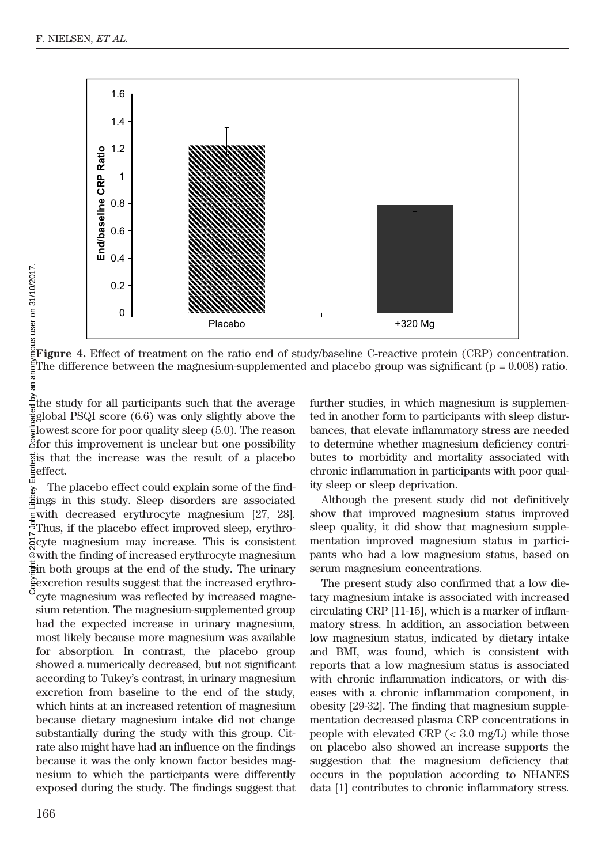

Figure 4. Effect of treatment on the ratio end of study/baseline C-reactive protein (CRP) concentration. The difference between the magnesium-supplemented and placebo group was significant  $(p = 0.008)$  ratio.

 $\frac{\delta}{2}$ the study for all participants such that the average  $g$ global PSQI score  $(6.6)$  was only slightly above the lowest score for poor quality sleep (5.0). The reason for this improvement is unclear but one possibility is that the increase was the result of a placebo effect.

The placebo effect could explain some of the find- $\frac{1}{6}$  The placebo effect could explain some of the find-<br>fings in this study. Sleep disorders are associated with decreased erythrocyte magnesium [27, 28]. Thus, if the placebo effect improved sleep, erythrocyte magnesium may increase. This is consistent with the finding of increased erythrocyte magnesium in both groups at the end of the study. The urinary Sexcretion results suggest that the increased erythrocyte magnesium was reflected by increased magnesium retention. The magnesium-supplemented group had the expected increase in urinary magnesium, most likely because more magnesium was available for absorption. In contrast, the placebo group showed a numerically decreased, but not significant according to Tukey's contrast, in urinary magnesium excretion from baseline to the end of the study, which hints at an increased retention of magnesium because dietary magnesium intake did not change substantially during the study with this group. Citrate also might have had an influence on the findings because it was the only known factor besides magnesium to which the participants were differently exposed during the study. The findings suggest that further studies, in which magnesium is supplemented in another form to participants with sleep disturbances, that elevate inflammatory stress are needed to determine whether magnesium deficiency contributes to morbidity and mortality associated with chronic inflammation in participants with poor quality sleep or sleep deprivation.

Although the present study did not definitively show that improved magnesium status improved sleep quality, it did show that magnesium supplementation improved magnesium status in participants who had a low magnesium status, based on serum magnesium concentrations.

The present study also confirmed that a low dietary magnesium intake is associated with increased circulating CRP [11-15], which is a marker of inflammatory stress. In addition, an association between low magnesium status, indicated by dietary intake and BMI, was found, which is consistent with reports that a low magnesium status is associated with chronic inflammation indicators, or with diseases with a chronic inflammation component, in obesity [29-32]. The finding that magnesium supplementation decreased plasma CRP concentrations in people with elevated CRP  $\left( < 3.0 \right)$  mg/L) while those on placebo also showed an increase supports the suggestion that the magnesium deficiency that occurs in the population according to NHANES data [1] contributes to chronic inflammatory stress.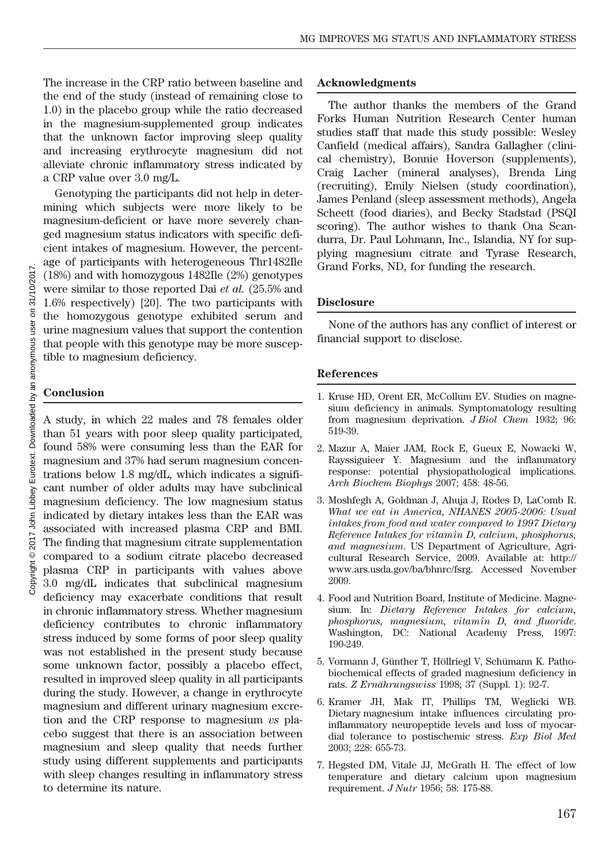The increase in the CRP ratio between baseline and the end of the study (instead of remaining close to 1.0) in the placebo group while the ratio decreased in the magnesium-supplemented group indicates that the unknown factor improving sleep quality and increasing erythrocyte magnesium did not alleviate chronic inflammatory stress indicated by a CRP value over 3.0 mg/L.

Genotyping the participants did not help in determining which subjects were more likely to be magnesium-deficient or have more severely changed magnesium status indicators with specific deficient intakes of magnesium. However, the percentage of participants with heterogeneous Thr1482Ile (18%) and with homozygous 1482Ile (2%) genotypes were similar to those reported Dai et al. (25.5% and 1.6% respectively) [20]. The two participants with the homozygous genotype exhibited serum and urine magnesium values that support the contention that people with this genotype may be more susceptible to magnesium deficiency.

## **Conclusion**

A study, in which 22 males and 78 females older than 51 years with poor sleep quality participated, found 58% were consuming less than the EAR for magnesium and 37% had serum magnesium concentrations below 1.8 mg/dL, which indicates a significant number of older adults may have subclinical magnesium deficiency. The low magnesium status indicated by dietary intakes less than the EAR was associated with increased plasma CRP and BMI. The finding that magnesium citrate supplementation compared to a sodium citrate placebo decreased plasma CRP in participants with values above 3.0 mg/dL indicates that subclinical magnesium deficiency may exacerbate conditions that result in chronic inflammatory stress. Whether magnesium deficiency contributes to chronic inflammatory stress induced by some forms of poor sleep quality was not established in the present study because some unknown factor, possibly a placebo effect, resulted in improved sleep quality in all participants during the study. However, a change in erythrocyte magnesium and different urinary magnesium excretion and the CRP response to magnesium vs placebo suggest that there is an association between magnesium and sleep quality that needs further study using different supplements and participants with sleep changes resulting in inflammatory stress to determine its nature.

#### Acknowledgments

The author thanks the members of the Grand Forks Human Nutrition Research Center human studies staff that made this study possible: Wesley Canfield (medical affairs), Sandra Gallagher (clinical chemistry), Bonnie Hoverson (supplements), Craig Lacher (mineral analyses), Brenda Ling (recruiting), Emily Nielsen (study coordination), James Penland (sleep assessment methods), Angela Scheett (food diaries), and Becky Stadstad (PSQI scoring). The author wishes to thank Ona Scandurra, Dr. Paul Lohmann, Inc., Islandia, NY for supplying magnesium citrate and Tyrase Research, Grand Forks, ND, for funding the research.

## Disclosure

None of the authors has any conflict of interest or financial support to disclose.

### References

- 1. Kruse HD, Orent ER, McCollum EV. Studies on magnesium deficiency in animals. Symptomatology resulting from magnesium deprivation. *J Biol Chem* 1932; 96: 519-39.
- 2. Mazur A, Maier JAM, Rock E, Gueux E, Nowacki W, Rayssiguieer Y. Magnesium and the inflammatory response: potential physiopathological implications. Arch Biochem Biophys 2007; 458: 48-56.
- 3. Moshfegh A, Goldman J, Ahuja J, Rodes D, LaComb R. What we eat in America, NHANES 2005-2006: Usual intakes from food and water compared to 1997 Dietary Reference Intakes for vitamin D, calcium, phosphorus, and magnesium. US Department of Agriculture, Agricultural Research Service, 2009. Available at: http:// www.ars.usda.gov/ba/bhnrc/fsrg. Accessed November 2009.
- 4. Food and Nutrition Board, Institute of Medicine. Magnesium. In: Dietary Reference Intakes for calcium, phosphorus, magnesium, vitamin D, and fluoride. Washington, DC: National Academy Press, 1997: 190-249.
- 5. Vormann J, Günther T, Höllriegl V, Schümann K. Pathobiochemical effects of graded magnesium deficiency in rats. Z Ernährungswiss 1998; 37 (Suppl. 1): 92-7.
- 6. Kramer JH, Mak IT, Phillips TM, Weglicki WB. Dietary magnesium intake influences circulating proinflammatory neuropeptide levels and loss of myocardial tolerance to postischemic stress. Exp Biol Med 2003; 228: 655-73.
- 7. Hegsted DM, Vitale JJ, McGrath H. The effect of low temperature and dietary calcium upon magnesium requirement. J Nutr 1956; 58: 175-88.